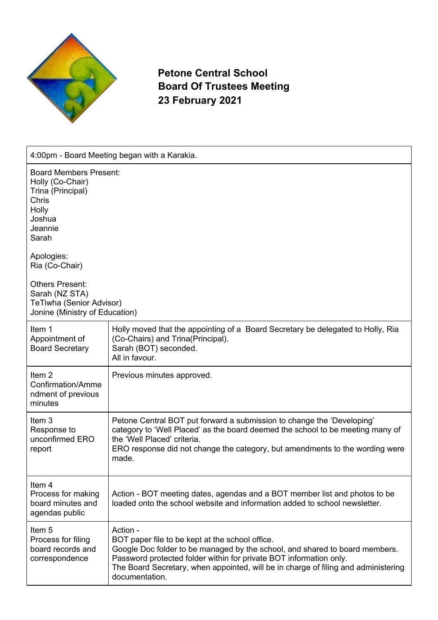

**Petone Central School Board Of Trustees Meeting 23 February 2021**

| 4:00pm - Board Meeting began with a Karakia.                                                                                                                                                                                                                     |                                                                                                                                                                                                                                                                                                                          |  |
|------------------------------------------------------------------------------------------------------------------------------------------------------------------------------------------------------------------------------------------------------------------|--------------------------------------------------------------------------------------------------------------------------------------------------------------------------------------------------------------------------------------------------------------------------------------------------------------------------|--|
| <b>Board Members Present:</b><br>Holly (Co-Chair)<br>Trina (Principal)<br>Chris<br>Holly<br>Joshua<br>Jeannie<br>Sarah<br>Apologies:<br>Ria (Co-Chair)<br><b>Others Present:</b><br>Sarah (NZ STA)<br>TeTiwha (Senior Advisor)<br>Jonine (Ministry of Education) |                                                                                                                                                                                                                                                                                                                          |  |
|                                                                                                                                                                                                                                                                  |                                                                                                                                                                                                                                                                                                                          |  |
| Item 1<br>Appointment of<br><b>Board Secretary</b>                                                                                                                                                                                                               | Holly moved that the appointing of a Board Secretary be delegated to Holly, Ria<br>(Co-Chairs) and Trina(Principal).<br>Sarah (BOT) seconded.<br>All in favour.                                                                                                                                                          |  |
| Item <sub>2</sub><br>Confirmation/Amme<br>ndment of previous<br>minutes                                                                                                                                                                                          | Previous minutes approved.                                                                                                                                                                                                                                                                                               |  |
| Item 3<br>Response to<br>unconfirmed ERO<br>report                                                                                                                                                                                                               | Petone Central BOT put forward a submission to change the 'Developing'<br>category to 'Well Placed' as the board deemed the school to be meeting many of<br>the 'Well Placed' criteria.<br>ERO response did not change the category, but amendments to the wording were<br>made.                                         |  |
| Item 4<br>Process for making<br>board minutes and<br>agendas public                                                                                                                                                                                              | Action - BOT meeting dates, agendas and a BOT member list and photos to be<br>loaded onto the school website and information added to school newsletter.                                                                                                                                                                 |  |
| Item <sub>5</sub><br>Process for filing<br>board records and<br>correspondence                                                                                                                                                                                   | Action -<br>BOT paper file to be kept at the school office.<br>Google Doc folder to be managed by the school, and shared to board members.<br>Password protected folder within for private BOT information only.<br>The Board Secretary, when appointed, will be in charge of filing and administering<br>documentation. |  |